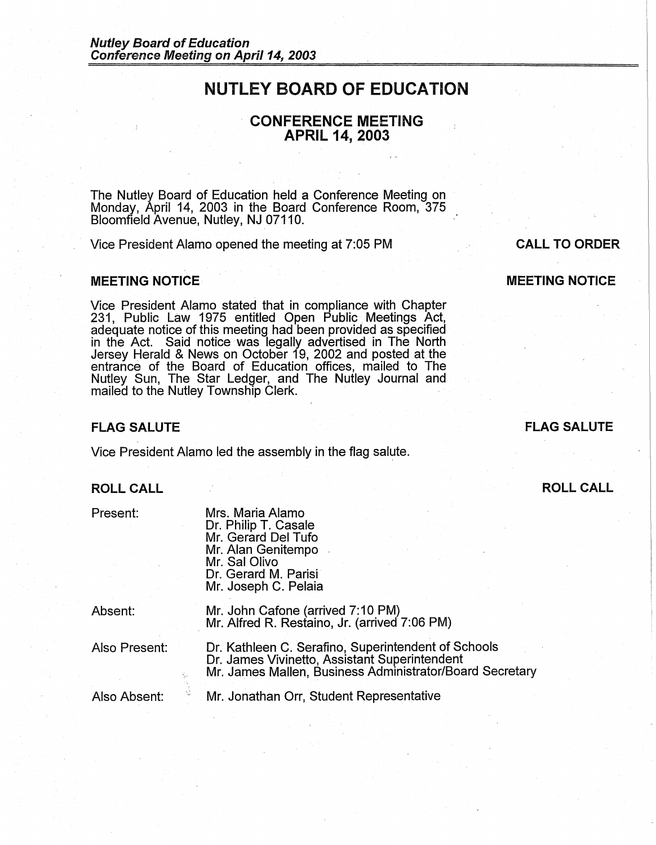### **NUTLEY BOARD OF EDUCATION**

**CONFERENCE MEETING APRIL 14, 2003** 

The Nutley Board of Education held a Conference Meeting on Monday, April 14, 2003 in the Board Conference Room, 375 Bloomfield Avenue, Nutley, NJ 07110.

Vice President Alamo opened the meeting at 7:05 PM

#### **MEETING NOTICE**

Vice President Alamo stated that in compliance with Chapter 231, Public Law 1975 entitled Open Public Meetings Act, adequate notice of this meeting had been provided as specified in the Act. Said notice was legally advertised in The North Jersey Herald & News on October 19, 2002 and posted at the entrance of the Board of Education offices, mailed to The Nutley Sun, The Star Ledger, and The Nutley Journal and mailed to the Nutley Township Clerk.

#### **FLAG SALUTE**

Vice President Alamo led the assembly in the flag salute.

#### **ROLL CALL**

Present:

Mrs. Maria Alamo Dr. Philip T. Casale Mr. Gerard Del Tufo Mr. Alan Genitempo Mr. Sal Olivo Dr. Gerard M. Parisi Mr. Joseph C. Pelaia

Absent:

Mr. John Cafone (arrived 7:10 PM)<br>Mr. Alfred R. Restaino, Jr. (arrived 7:06 PM)

Also Present:

Dr. Kathleen C. Serafino, Superintendent of Schools Dr. James Vivinetto, Assistant Superintendent Mr. James Mallen, Business Administrator/Board Secretary

Also Absent: Mr. Jonathan Orr, Student Representative

# **MEETING NOTICE**

**CALL TO ORDER** 

## **ROLL CALL**

**FLAG SALUTE**